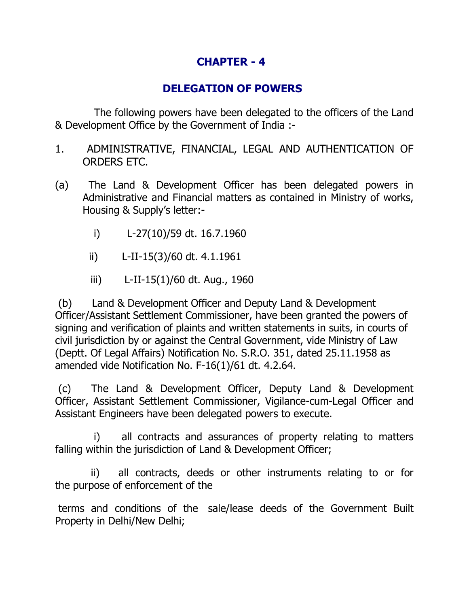# **CHAPTER - 4**

## **DELEGATION OF POWERS**

 The following powers have been delegated to the officers of the Land & Development Office by the Government of India :-

- 1. ADMINISTRATIVE, FINANCIAL, LEGAL AND AUTHENTICATION OF ORDERS ETC.
- (a) The Land & Development Officer has been delegated powers in Administrative and Financial matters as contained in Ministry of works, Housing & Supply's letter:
	- i) L-27(10)/59 dt. 16.7.1960
	- ii) L-II-15(3)/60 dt. 4.1.1961
	- iii) L-II-15(1)/60 dt. Aug., 1960

 (b) Land & Development Officer and Deputy Land & Development Officer/Assistant Settlement Commissioner, have been granted the powers of signing and verification of plaints and written statements in suits, in courts of civil jurisdiction by or against the Central Government, vide Ministry of Law (Deptt. Of Legal Affairs) Notification No. S.R.O. 351, dated 25.11.1958 as amended vide Notification No. F-16(1)/61 dt. 4.2.64.

 (c) The Land & Development Officer, Deputy Land & Development Officer, Assistant Settlement Commissioner, Vigilance-cum-Legal Officer and Assistant Engineers have been delegated powers to execute.

 i) all contracts and assurances of property relating to matters falling within the jurisdiction of Land & Development Officer;

 ii) all contracts, deeds or other instruments relating to or for the purpose of enforcement of the

terms and conditions of the sale/lease deeds of the Government Built Property in Delhi/New Delhi;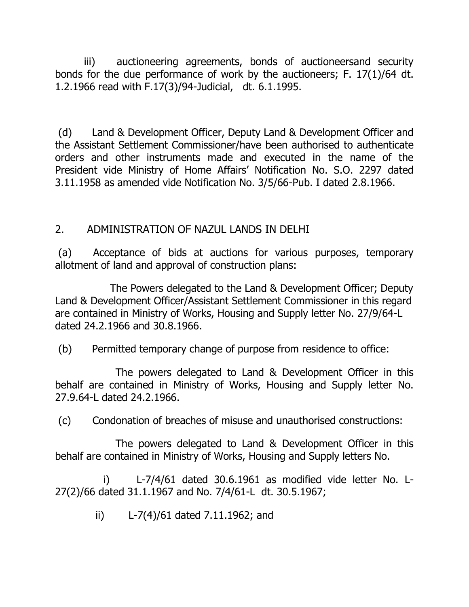iii) auctioneering agreements, bonds of auctioneersand security bonds for the due performance of work by the auctioneers; F. 17(1)/64 dt. 1.2.1966 read with F.17(3)/94-Judicial, dt. 6.1.1995.

 (d) Land & Development Officer, Deputy Land & Development Officer and the Assistant Settlement Commissioner/have been authorised to authenticate orders and other instruments made and executed in the name of the President vide Ministry of Home Affairs' Notification No. S.O. 2297 dated 3.11.1958 as amended vide Notification No. 3/5/66-Pub. I dated 2.8.1966.

## 2. ADMINISTRATION OF NAZUL LANDS IN DELHI

(a) Acceptance of bids at auctions for various purposes, temporary allotment of land and approval of construction plans:

 The Powers delegated to the Land & Development Officer; Deputy Land & Development Officer/Assistant Settlement Commissioner in this regard are contained in Ministry of Works, Housing and Supply letter No. 27/9/64-L dated 24.2.1966 and 30.8.1966.

(b) Permitted temporary change of purpose from residence to office:

 The powers delegated to Land & Development Officer in this behalf are contained in Ministry of Works, Housing and Supply letter No. 27.9.64-L dated 24.2.1966.

(c) Condonation of breaches of misuse and unauthorised constructions:

 The powers delegated to Land & Development Officer in this behalf are contained in Ministry of Works, Housing and Supply letters No.

 i) L-7/4/61 dated 30.6.1961 as modified vide letter No. L-27(2)/66 dated 31.1.1967 and No. 7/4/61-L dt. 30.5.1967;

ii) L-7(4)/61 dated 7.11.1962; and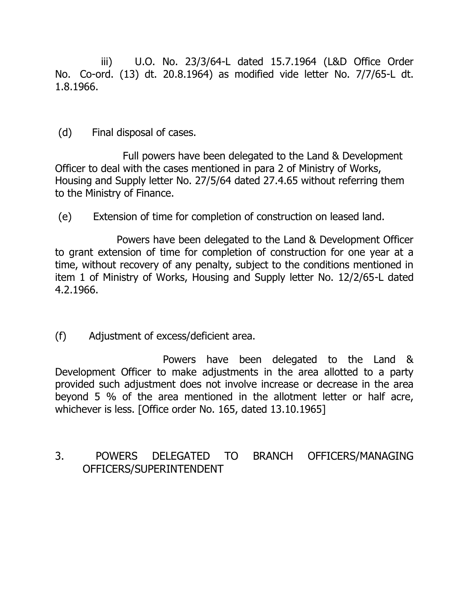iii) U.O. No. 23/3/64-L dated 15.7.1964 (L&D Office Order No. Co-ord. (13) dt. 20.8.1964) as modified vide letter No. 7/7/65-L dt. 1.8.1966.

(d) Final disposal of cases.

 Full powers have been delegated to the Land & Development Officer to deal with the cases mentioned in para 2 of Ministry of Works, Housing and Supply letter No. 27/5/64 dated 27.4.65 without referring them to the Ministry of Finance.

(e) Extension of time for completion of construction on leased land.

 Powers have been delegated to the Land & Development Officer to grant extension of time for completion of construction for one year at a time, without recovery of any penalty, subject to the conditions mentioned in item 1 of Ministry of Works, Housing and Supply letter No. 12/2/65-L dated 4.2.1966.

(f) Adjustment of excess/deficient area.

 Powers have been delegated to the Land & Development Officer to make adjustments in the area allotted to a party provided such adjustment does not involve increase or decrease in the area beyond 5 % of the area mentioned in the allotment letter or half acre, whichever is less. [Office order No. 165, dated 13.10.1965]

3. POWERS DELEGATED TO BRANCH OFFICERS/MANAGING OFFICERS/SUPERINTENDENT